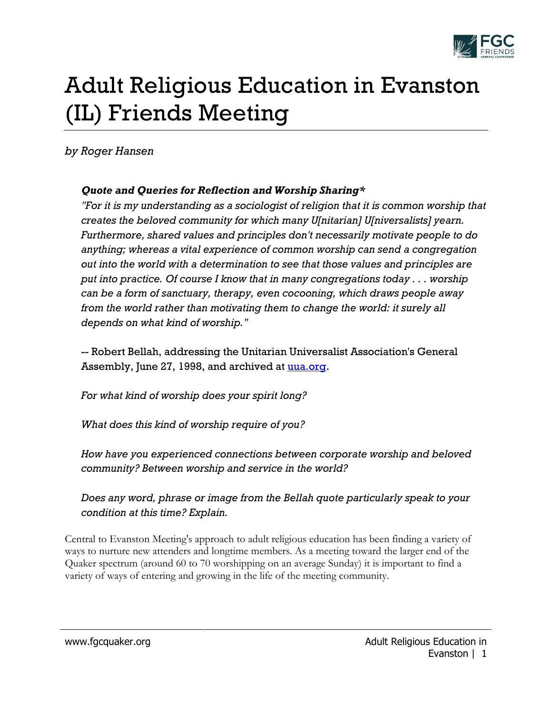

## Adult Religious Education in Evanston (IL) Friends Meeting

## *by Roger Hansen*

## *Quote and Queries for Reflection and Worship Sharing\**

*"For it is my understanding as a sociologist of religion that it is common worship that creates the beloved community for which many U[nitarian] U[niversalists] yearn. Furthermore, shared values and principles don't necessarily motivate people to do anything; whereas a vital experience of common worship can send a congregation out into the world with a determination to see that those values and principles are put into practice. Of course I know that in many congregations today . . . worship can be a form of sanctuary, therapy, even cocooning, which draws people away from the world rather than motivating them to change the world: it surely all depends on what kind of worship."*

-- Robert Bellah, addressing the Unitarian Universalist Association's General Assembly, June 27, 1998, and archived at [uua.org.](http://www.uua.org/archive/promise/bellah.html)

*For what kind of worship does your spirit long?*

*What does this kind of worship require of you?*

*How have you experienced connections between corporate worship and beloved community? Between worship and service in the world?*

*Does any word, phrase or image from the Bellah quote particularly speak to your condition at this time? Explain.*

Central to Evanston Meeting's approach to adult religious education has been finding a variety of ways to nurture new attenders and longtime members. As a meeting toward the larger end of the Quaker spectrum (around 60 to 70 worshipping on an average Sunday) it is important to find a variety of ways of entering and growing in the life of the meeting community.